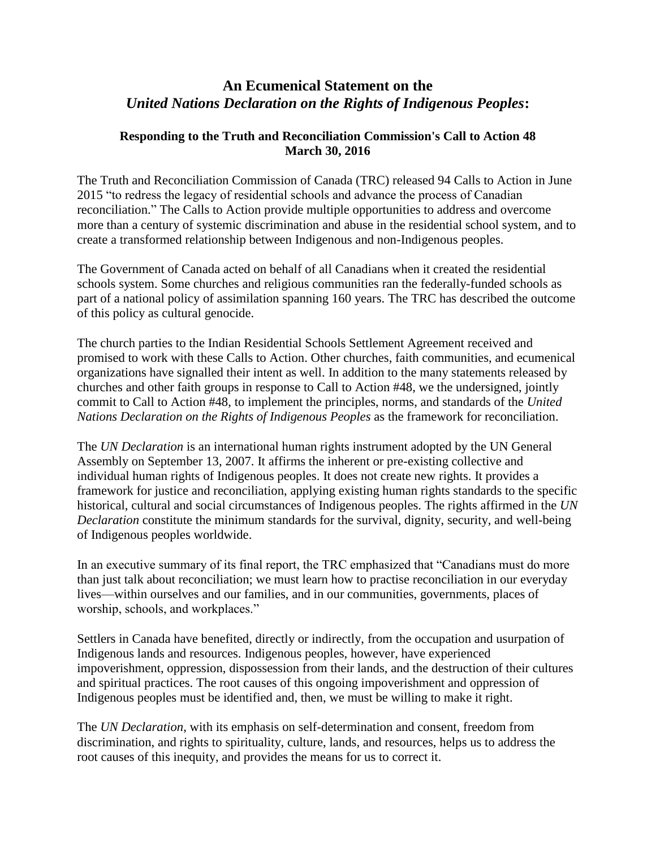## **An Ecumenical Statement on the**  *United Nations Declaration on the Rights of Indigenous Peoples***:**

## **Responding to the Truth and Reconciliation Commission's Call to Action 48 March 30, 2016**

The Truth and Reconciliation Commission of Canada (TRC) released 94 Calls to Action in June 2015 "to redress the legacy of residential schools and advance the process of Canadian reconciliation." The Calls to Action provide multiple opportunities to address and overcome more than a century of systemic discrimination and abuse in the residential school system, and to create a transformed relationship between Indigenous and non-Indigenous peoples.

The Government of Canada acted on behalf of all Canadians when it created the residential schools system. Some churches and religious communities ran the federally-funded schools as part of a national policy of assimilation spanning 160 years. The TRC has described the outcome of this policy as cultural genocide.

The church parties to the Indian Residential Schools Settlement Agreement received and promised to work with these Calls to Action. Other churches, faith communities, and ecumenical organizations have signalled their intent as well. In addition to the many statements released by churches and other faith groups in response to Call to Action #48, we the undersigned, jointly commit to Call to Action #48, to implement the principles, norms, and standards of the *United Nations Declaration on the Rights of Indigenous Peoples* as the framework for reconciliation.

The *UN Declaration* is an international human rights instrument adopted by the UN General Assembly on September 13, 2007. It affirms the inherent or pre-existing collective and individual human rights of Indigenous peoples. It does not create new rights. It provides a framework for justice and reconciliation, applying existing human rights standards to the specific historical, cultural and social circumstances of Indigenous peoples. The rights affirmed in the *UN Declaration* constitute the minimum standards for the survival, dignity, security, and well-being of Indigenous peoples worldwide.

In an executive summary of its final report, the TRC emphasized that "Canadians must do more than just talk about reconciliation; we must learn how to practise reconciliation in our everyday lives—within ourselves and our families, and in our communities, governments, places of worship, schools, and workplaces."

Settlers in Canada have benefited, directly or indirectly, from the occupation and usurpation of Indigenous lands and resources. Indigenous peoples, however, have experienced impoverishment, oppression, dispossession from their lands, and the destruction of their cultures and spiritual practices. The root causes of this ongoing impoverishment and oppression of Indigenous peoples must be identified and, then, we must be willing to make it right.

The *UN Declaration*, with its emphasis on self-determination and consent, freedom from discrimination, and rights to spirituality, culture, lands, and resources, helps us to address the root causes of this inequity, and provides the means for us to correct it.